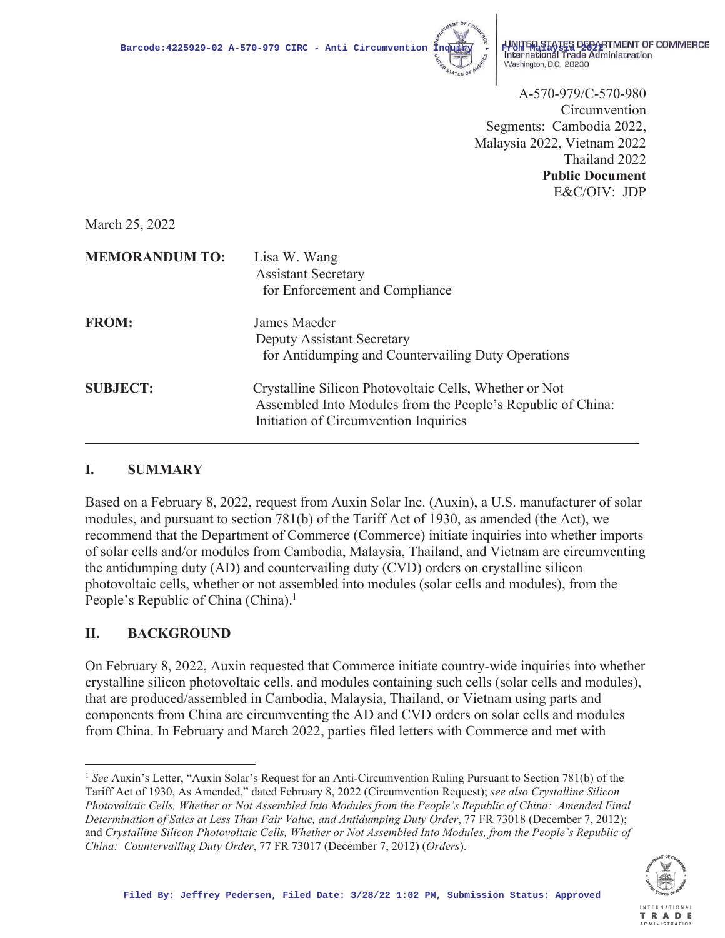

**Barcode:4225929-02 A-570-979 CIRC - Anti Circumvention**  $\frac{3}{2} + \frac{11}{2} + \frac{1}{2}$  **UNITED STATES DEPARTMENT OF COMMERCE** Washington, D.C. 20230

> A-570-979/C-570-980 Circumvention Segments: Cambodia 2022, Malaysia 2022, Vietnam 2022 Thailand 2022 **Public Document** E&C/OIV: JDP

March 25, 2022

| <b>MEMORANDUM TO:</b> | Lisa W. Wang<br><b>Assistant Secretary</b><br>for Enforcement and Compliance                                                                                   |
|-----------------------|----------------------------------------------------------------------------------------------------------------------------------------------------------------|
| <b>FROM:</b>          | James Maeder<br>Deputy Assistant Secretary<br>for Antidumping and Countervailing Duty Operations                                                               |
| <b>SUBJECT:</b>       | Crystalline Silicon Photovoltaic Cells, Whether or Not<br>Assembled Into Modules from the People's Republic of China:<br>Initiation of Circumvention Inquiries |

### **I. SUMMARY**

Based on a February 8, 2022, request from Auxin Solar Inc. (Auxin), a U.S. manufacturer of solar modules, and pursuant to section 781(b) of the Tariff Act of 1930, as amended (the Act), we recommend that the Department of Commerce (Commerce) initiate inquiries into whether imports of solar cells and/or modules from Cambodia, Malaysia, Thailand, and Vietnam are circumventing the antidumping duty (AD) and countervailing duty (CVD) orders on crystalline silicon photovoltaic cells, whether or not assembled into modules (solar cells and modules), from the People's Republic of China (China).<sup>1</sup>

### **II. BACKGROUND**

On February 8, 2022, Auxin requested that Commerce initiate country-wide inquiries into whether crystalline silicon photovoltaic cells, and modules containing such cells (solar cells and modules), that are produced/assembled in Cambodia, Malaysia, Thailand, or Vietnam using parts and components from China are circumventing the AD and CVD orders on solar cells and modules from China. In February and March 2022, parties filed letters with Commerce and met with

<sup>1</sup> *See* Auxin's Letter, "Auxin Solar's Request for an Anti-Circumvention Ruling Pursuant to Section 781(b) of the Tariff Act of 1930, As Amended," dated February 8, 2022 (Circumvention Request); *see also Crystalline Silicon Photovoltaic Cells, Whether or Not Assembled Into Modules from the People's Republic of China: Amended Final Determination of Sales at Less Than Fair Value, and Antidumping Duty Order*, 77 FR 73018 (December 7, 2012); and *Crystalline Silicon Photovoltaic Cells, Whether or Not Assembled Into Modules, from the People's Republic of China: Countervailing Duty Order*, 77 FR 73017 (December 7, 2012) (*Orders*).

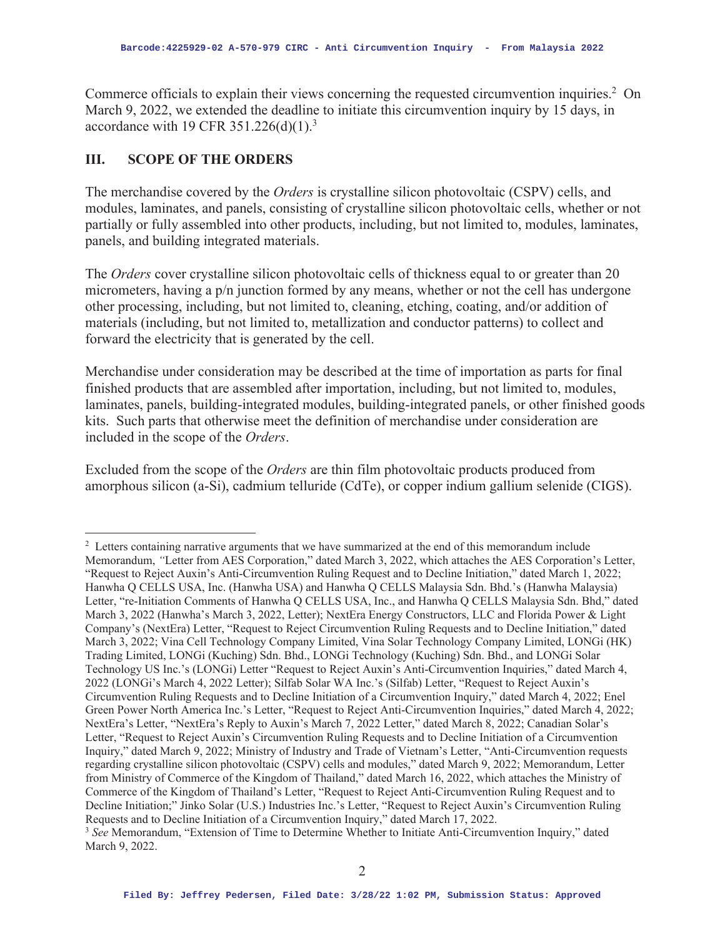Commerce officials to explain their views concerning the requested circumvention inquiries.<sup>2</sup> On March 9, 2022, we extended the deadline to initiate this circumvention inquiry by 15 days, in accordance with 19 CFR  $351.226(d)(1).$ <sup>3</sup>

### **III. SCOPE OF THE ORDERS**

The merchandise covered by the *Orders* is crystalline silicon photovoltaic (CSPV) cells, and modules, laminates, and panels, consisting of crystalline silicon photovoltaic cells, whether or not partially or fully assembled into other products, including, but not limited to, modules, laminates, panels, and building integrated materials.

The *Orders* cover crystalline silicon photovoltaic cells of thickness equal to or greater than 20 micrometers, having a p/n junction formed by any means, whether or not the cell has undergone other processing, including, but not limited to, cleaning, etching, coating, and/or addition of materials (including, but not limited to, metallization and conductor patterns) to collect and forward the electricity that is generated by the cell.

Merchandise under consideration may be described at the time of importation as parts for final finished products that are assembled after importation, including, but not limited to, modules, laminates, panels, building-integrated modules, building-integrated panels, or other finished goods kits. Such parts that otherwise meet the definition of merchandise under consideration are included in the scope of the *Orders*.

Excluded from the scope of the *Orders* are thin film photovoltaic products produced from amorphous silicon (a-Si), cadmium telluride (CdTe), or copper indium gallium selenide (CIGS).

<sup>&</sup>lt;sup>2</sup> Letters containing narrative arguments that we have summarized at the end of this memorandum include Memorandum, *"*Letter from AES Corporation," dated March 3, 2022, which attaches the AES Corporation's Letter, "Request to Reject Auxin's Anti-Circumvention Ruling Request and to Decline Initiation," dated March 1, 2022; Hanwha Q CELLS USA, Inc. (Hanwha USA) and Hanwha Q CELLS Malaysia Sdn. Bhd.'s (Hanwha Malaysia) Letter, "re-Initiation Comments of Hanwha Q CELLS USA, Inc., and Hanwha Q CELLS Malaysia Sdn. Bhd," dated March 3, 2022 (Hanwha's March 3, 2022, Letter); NextEra Energy Constructors, LLC and Florida Power & Light Company's (NextEra) Letter, "Request to Reject Circumvention Ruling Requests and to Decline Initiation," dated March 3, 2022; Vina Cell Technology Company Limited, Vina Solar Technology Company Limited, LONGi (HK) Trading Limited, LONGi (Kuching) Sdn. Bhd., LONGi Technology (Kuching) Sdn. Bhd., and LONGi Solar Technology US Inc.'s (LONGi) Letter "Request to Reject Auxin's Anti-Circumvention Inquiries," dated March 4, 2022 (LONGi's March 4, 2022 Letter); Silfab Solar WA Inc.'s (Silfab) Letter, "Request to Reject Auxin's Circumvention Ruling Requests and to Decline Initiation of a Circumvention Inquiry," dated March 4, 2022; Enel Green Power North America Inc.'s Letter, "Request to Reject Anti-Circumvention Inquiries," dated March 4, 2022; NextEra's Letter, "NextEra's Reply to Auxin's March 7, 2022 Letter," dated March 8, 2022; Canadian Solar's Letter, "Request to Reject Auxin's Circumvention Ruling Requests and to Decline Initiation of a Circumvention Inquiry," dated March 9, 2022; Ministry of Industry and Trade of Vietnam's Letter, "Anti-Circumvention requests regarding crystalline silicon photovoltaic (CSPV) cells and modules," dated March 9, 2022; Memorandum, Letter from Ministry of Commerce of the Kingdom of Thailand," dated March 16, 2022, which attaches the Ministry of Commerce of the Kingdom of Thailand's Letter, "Request to Reject Anti-Circumvention Ruling Request and to Decline Initiation;" Jinko Solar (U.S.) Industries Inc.'s Letter, "Request to Reject Auxin's Circumvention Ruling Requests and to Decline Initiation of a Circumvention Inquiry," dated March 17, 2022.

<sup>3</sup> *See* Memorandum, "Extension of Time to Determine Whether to Initiate Anti-Circumvention Inquiry," dated March 9, 2022.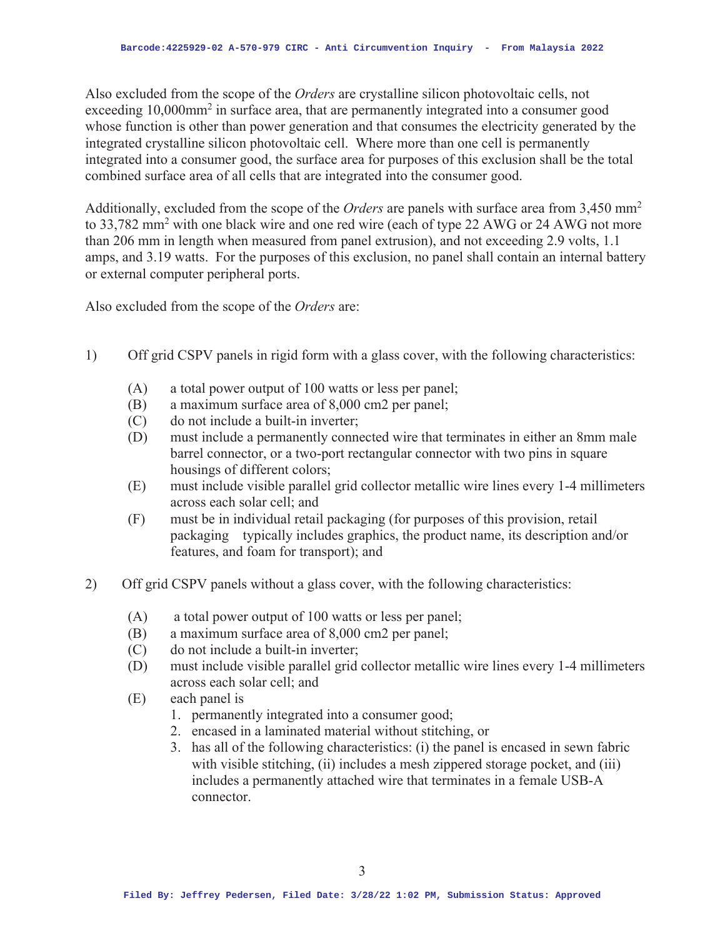Also excluded from the scope of the *Orders* are crystalline silicon photovoltaic cells, not exceeding 10,000mm<sup>2</sup> in surface area, that are permanently integrated into a consumer good whose function is other than power generation and that consumes the electricity generated by the integrated crystalline silicon photovoltaic cell. Where more than one cell is permanently integrated into a consumer good, the surface area for purposes of this exclusion shall be the total combined surface area of all cells that are integrated into the consumer good.

Additionally, excluded from the scope of the *Orders* are panels with surface area from 3,450 mm2 to 33,782 mm<sup>2</sup> with one black wire and one red wire (each of type 22 AWG or 24 AWG not more than 206 mm in length when measured from panel extrusion), and not exceeding 2.9 volts, 1.1 amps, and 3.19 watts. For the purposes of this exclusion, no panel shall contain an internal battery or external computer peripheral ports.

Also excluded from the scope of the *Orders* are:

- 1) Off grid CSPV panels in rigid form with a glass cover, with the following characteristics:
	- (A) a total power output of 100 watts or less per panel;
	- (B) a maximum surface area of 8,000 cm2 per panel;
	- (C) do not include a built-in inverter;
	- (D) must include a permanently connected wire that terminates in either an 8mm male barrel connector, or a two-port rectangular connector with two pins in square housings of different colors;
	- (E) must include visible parallel grid collector metallic wire lines every 1-4 millimeters across each solar cell; and
	- (F) must be in individual retail packaging (for purposes of this provision, retail packaging typically includes graphics, the product name, its description and/or features, and foam for transport); and
- 2) Off grid CSPV panels without a glass cover, with the following characteristics:
	- (A) a total power output of 100 watts or less per panel;
	- (B) a maximum surface area of 8,000 cm2 per panel;
	- (C) do not include a built-in inverter;
	- (D) must include visible parallel grid collector metallic wire lines every 1-4 millimeters across each solar cell; and
	- (E) each panel is
		- 1. permanently integrated into a consumer good;
		- 2. encased in a laminated material without stitching, or
		- 3. has all of the following characteristics: (i) the panel is encased in sewn fabric with visible stitching, (ii) includes a mesh zippered storage pocket, and (iii) includes a permanently attached wire that terminates in a female USB-A connector.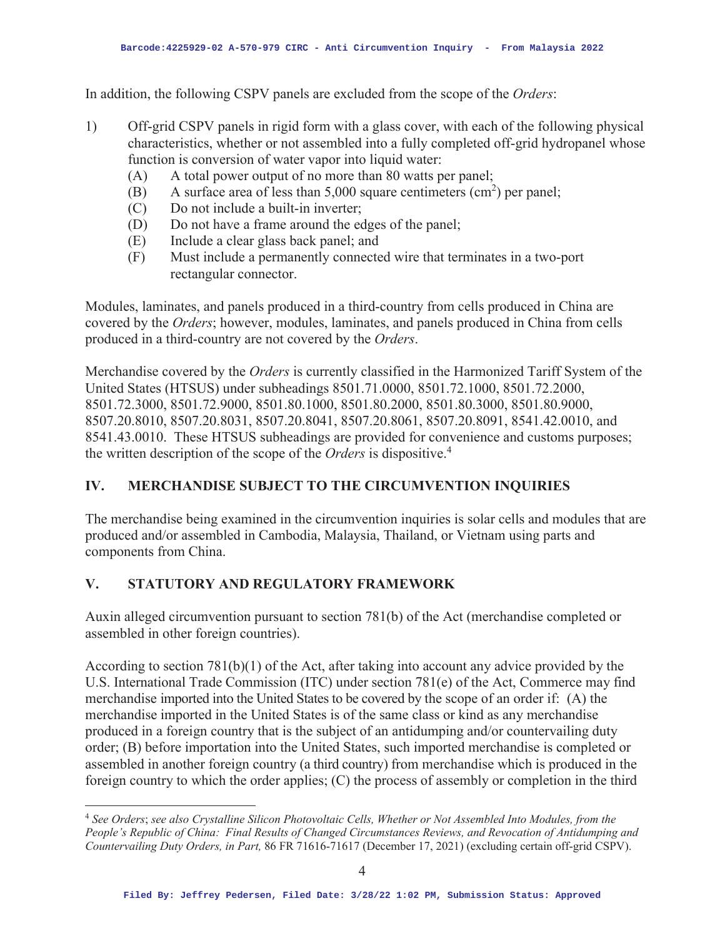In addition, the following CSPV panels are excluded from the scope of the *Orders*:

- 1) Off-grid CSPV panels in rigid form with a glass cover, with each of the following physical characteristics, whether or not assembled into a fully completed off-grid hydropanel whose function is conversion of water vapor into liquid water:
	- (A) A total power output of no more than 80 watts per panel;
	- (B) A surface area of less than  $5,000$  square centimeters (cm<sup>2</sup>) per panel;
	- (C) Do not include a built-in inverter;
	- (D) Do not have a frame around the edges of the panel;
	- (E) Include a clear glass back panel; and
	- (F) Must include a permanently connected wire that terminates in a two-port rectangular connector.

Modules, laminates, and panels produced in a third-country from cells produced in China are covered by the *Orders*; however, modules, laminates, and panels produced in China from cells produced in a third-country are not covered by the *Orders*.

Merchandise covered by the *Orders* is currently classified in the Harmonized Tariff System of the United States (HTSUS) under subheadings 8501.71.0000, 8501.72.1000, 8501.72.2000, 8501.72.3000, 8501.72.9000, 8501.80.1000, 8501.80.2000, 8501.80.3000, 8501.80.9000, 8507.20.8010, 8507.20.8031, 8507.20.8041, 8507.20.8061, 8507.20.8091, 8541.42.0010, and 8541.43.0010. These HTSUS subheadings are provided for convenience and customs purposes; the written description of the scope of the *Orders* is dispositive.<sup>4</sup>

## **IV. MERCHANDISE SUBJECT TO THE CIRCUMVENTION INQUIRIES**

The merchandise being examined in the circumvention inquiries is solar cells and modules that are produced and/or assembled in Cambodia, Malaysia, Thailand, or Vietnam using parts and components from China.

## **V. STATUTORY AND REGULATORY FRAMEWORK**

Auxin alleged circumvention pursuant to section 781(b) of the Act (merchandise completed or assembled in other foreign countries).

According to section 781(b)(1) of the Act, after taking into account any advice provided by the U.S. International Trade Commission (ITC) under section 781(e) of the Act, Commerce may find merchandise imported into the United States to be covered by the scope of an order if: (A) the merchandise imported in the United States is of the same class or kind as any merchandise produced in a foreign country that is the subject of an antidumping and/or countervailing duty order; (B) before importation into the United States, such imported merchandise is completed or assembled in another foreign country (a third country) from merchandise which is produced in the foreign country to which the order applies; (C) the process of assembly or completion in the third

<sup>4</sup> *See Orders*; *see also Crystalline Silicon Photovoltaic Cells, Whether or Not Assembled Into Modules, from the People's Republic of China: Final Results of Changed Circumstances Reviews, and Revocation of Antidumping and Countervailing Duty Orders, in Part,* 86 FR 71616-71617 (December 17, 2021) (excluding certain off-grid CSPV).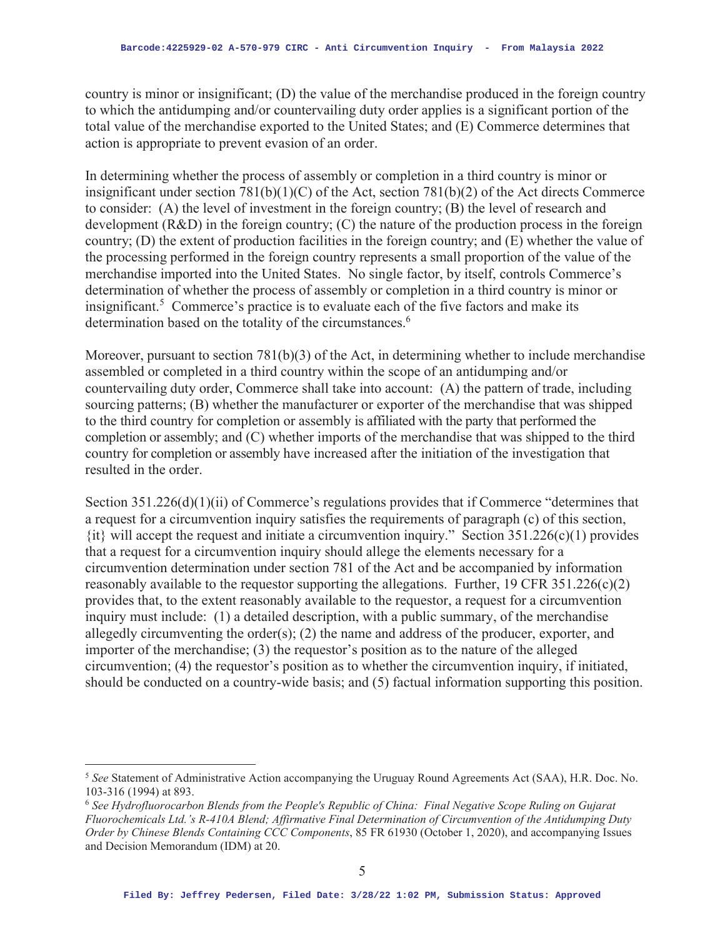country is minor or insignificant; (D) the value of the merchandise produced in the foreign country to which the antidumping and/or countervailing duty order applies is a significant portion of the total value of the merchandise exported to the United States; and (E) Commerce determines that action is appropriate to prevent evasion of an order.

In determining whether the process of assembly or completion in a third country is minor or insignificant under section 781(b)(1)(C) of the Act, section 781(b)(2) of the Act directs Commerce to consider: (A) the level of investment in the foreign country; (B) the level of research and development (R&D) in the foreign country; (C) the nature of the production process in the foreign country; (D) the extent of production facilities in the foreign country; and (E) whether the value of the processing performed in the foreign country represents a small proportion of the value of the merchandise imported into the United States. No single factor, by itself, controls Commerce's determination of whether the process of assembly or completion in a third country is minor or insignificant.<sup>5</sup> Commerce's practice is to evaluate each of the five factors and make its determination based on the totality of the circumstances.<sup>6</sup>

Moreover, pursuant to section 781(b)(3) of the Act, in determining whether to include merchandise assembled or completed in a third country within the scope of an antidumping and/or countervailing duty order, Commerce shall take into account: (A) the pattern of trade, including sourcing patterns; (B) whether the manufacturer or exporter of the merchandise that was shipped to the third country for completion or assembly is affiliated with the party that performed the completion or assembly; and (C) whether imports of the merchandise that was shipped to the third country for completion or assembly have increased after the initiation of the investigation that resulted in the order.

Section 351.226(d)(1)(ii) of Commerce's regulations provides that if Commerce "determines that a request for a circumvention inquiry satisfies the requirements of paragraph (c) of this section,  $\{it\}$  will accept the request and initiate a circumvention inquiry." Section 351.226(c)(1) provides that a request for a circumvention inquiry should allege the elements necessary for a circumvention determination under section 781 of the Act and be accompanied by information reasonably available to the requestor supporting the allegations. Further, 19 CFR 351.226(c)(2) provides that, to the extent reasonably available to the requestor, a request for a circumvention inquiry must include: (1) a detailed description, with a public summary, of the merchandise allegedly circumventing the order(s); (2) the name and address of the producer, exporter, and importer of the merchandise; (3) the requestor's position as to the nature of the alleged circumvention; (4) the requestor's position as to whether the circumvention inquiry, if initiated, should be conducted on a country-wide basis; and (5) factual information supporting this position.

<sup>5</sup> *See* Statement of Administrative Action accompanying the Uruguay Round Agreements Act (SAA), H.R. Doc. No. 103-316 (1994) at 893.

<sup>6</sup> *See Hydrofluorocarbon Blends from the People's Republic of China: Final Negative Scope Ruling on Gujarat Fluorochemicals Ltd.'s R-410A Blend; Affirmative Final Determination of Circumvention of the Antidumping Duty Order by Chinese Blends Containing CCC Components*, 85 FR 61930 (October 1, 2020), and accompanying Issues and Decision Memorandum (IDM) at 20.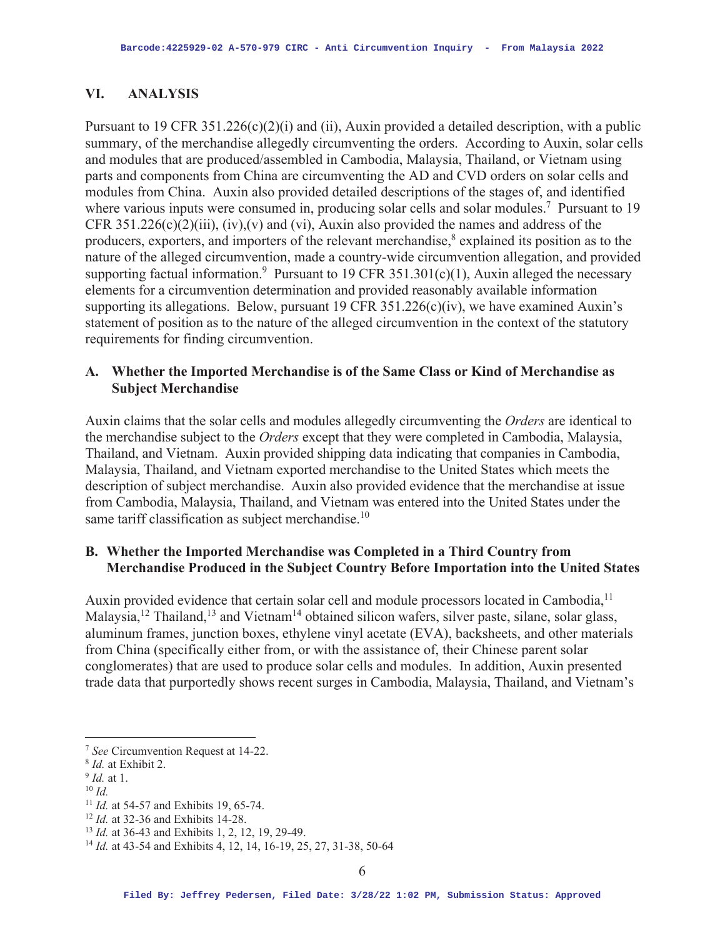#### **VI. ANALYSIS**

Pursuant to 19 CFR 351.226(c)(2)(i) and (ii), Auxin provided a detailed description, with a public summary, of the merchandise allegedly circumventing the orders. According to Auxin, solar cells and modules that are produced/assembled in Cambodia, Malaysia, Thailand, or Vietnam using parts and components from China are circumventing the AD and CVD orders on solar cells and modules from China. Auxin also provided detailed descriptions of the stages of, and identified where various inputs were consumed in, producing solar cells and solar modules.<sup>7</sup> Pursuant to 19 CFR 351.226(c)(2)(iii), (iv), (v) and (vi), Auxin also provided the names and address of the producers, exporters, and importers of the relevant merchandise,<sup>8</sup> explained its position as to the nature of the alleged circumvention, made a country-wide circumvention allegation, and provided supporting factual information.<sup>9</sup> Pursuant to 19 CFR 351.301(c)(1), Auxin alleged the necessary elements for a circumvention determination and provided reasonably available information supporting its allegations. Below, pursuant 19 CFR 351.226(c)(iv), we have examined Auxin's statement of position as to the nature of the alleged circumvention in the context of the statutory requirements for finding circumvention.

### **A. Whether the Imported Merchandise is of the Same Class or Kind of Merchandise as Subject Merchandise**

Auxin claims that the solar cells and modules allegedly circumventing the *Orders* are identical to the merchandise subject to the *Orders* except that they were completed in Cambodia, Malaysia, Thailand, and Vietnam. Auxin provided shipping data indicating that companies in Cambodia, Malaysia, Thailand, and Vietnam exported merchandise to the United States which meets the description of subject merchandise. Auxin also provided evidence that the merchandise at issue from Cambodia, Malaysia, Thailand, and Vietnam was entered into the United States under the same tariff classification as subject merchandise.<sup>10</sup>

### **B. Whether the Imported Merchandise was Completed in a Third Country from Merchandise Produced in the Subject Country Before Importation into the United States**

Auxin provided evidence that certain solar cell and module processors located in Cambodia,<sup>11</sup> Malaysia,<sup>12</sup> Thailand,<sup>13</sup> and Vietnam<sup>14</sup> obtained silicon wafers, silver paste, silane, solar glass, aluminum frames, junction boxes, ethylene vinyl acetate (EVA), backsheets, and other materials from China (specifically either from, or with the assistance of, their Chinese parent solar conglomerates) that are used to produce solar cells and modules. In addition, Auxin presented trade data that purportedly shows recent surges in Cambodia, Malaysia, Thailand, and Vietnam's

<sup>&</sup>lt;sup>7</sup> See Circumvention Request at 14-22.<br><sup>8</sup> *Id.* at Exhibit 2.<br><sup>9</sup> *Id.* at 1.<br><sup>10</sup> *Id.*<br><sup>11</sup> *Id.* at 54-57 and Exhibits 19, 65-74.<br><sup>12</sup> *Id.* at 32-36 and Exhibits 14-28.<br><sup>13</sup> *Id.* at 36-43 and Exhibits 1, 2, 12, 19,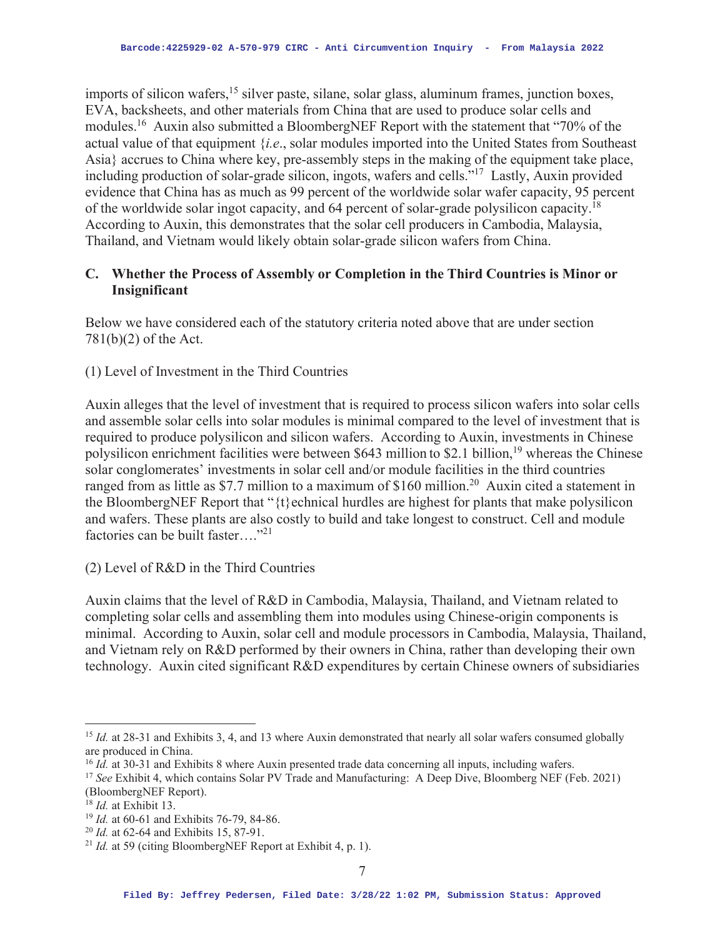imports of silicon wafers,<sup>15</sup> silver paste, silane, solar glass, aluminum frames, junction boxes, EVA, backsheets, and other materials from China that are used to produce solar cells and modules.16 Auxin also submitted a BloombergNEF Report with the statement that "70% of the actual value of that equipment {*i.e*., solar modules imported into the United States from Southeast Asia} accrues to China where key, pre-assembly steps in the making of the equipment take place, including production of solar-grade silicon, ingots, wafers and cells."17 Lastly, Auxin provided evidence that China has as much as 99 percent of the worldwide solar wafer capacity, 95 percent of the worldwide solar ingot capacity, and 64 percent of solar-grade polysilicon capacity.<sup>18</sup> According to Auxin, this demonstrates that the solar cell producers in Cambodia, Malaysia, Thailand, and Vietnam would likely obtain solar-grade silicon wafers from China.

## **C. Whether the Process of Assembly or Completion in the Third Countries is Minor or Insignificant**

Below we have considered each of the statutory criteria noted above that are under section 781(b)(2) of the Act.

(1) Level of Investment in the Third Countries

Auxin alleges that the level of investment that is required to process silicon wafers into solar cells and assemble solar cells into solar modules is minimal compared to the level of investment that is required to produce polysilicon and silicon wafers. According to Auxin, investments in Chinese polysilicon enrichment facilities were between \$643 million to \$2.1 billion,19 whereas the Chinese solar conglomerates' investments in solar cell and/or module facilities in the third countries ranged from as little as \$7.7 million to a maximum of \$160 million.<sup>20</sup> Auxin cited a statement in the BloombergNEF Report that " $\{t\}$  echnical hurdles are highest for plants that make polysilicon and wafers. These plants are also costly to build and take longest to construct. Cell and module factories can be built faster...."<sup>21</sup>

(2) Level of R&D in the Third Countries

Auxin claims that the level of R&D in Cambodia, Malaysia, Thailand, and Vietnam related to completing solar cells and assembling them into modules using Chinese-origin components is minimal. According to Auxin, solar cell and module processors in Cambodia, Malaysia, Thailand, and Vietnam rely on R&D performed by their owners in China, rather than developing their own technology. Auxin cited significant R&D expenditures by certain Chinese owners of subsidiaries

<sup>&</sup>lt;sup>15</sup> *Id.* at 28-31 and Exhibits 3, 4, and 13 where Auxin demonstrated that nearly all solar wafers consumed globally are produced in China.

<sup>&</sup>lt;sup>16</sup> *Id.* at 30-31 and Exhibits 8 where Auxin presented trade data concerning all inputs, including wafers. <sup>17</sup> *See* Exhibit 4, which contains Solar PV Trade and Manufacturing: A Deep Dive, Bloomberg NEF (Feb. 2021) (BloombergNEF Report).<br><sup>18</sup> *Id.* at Exhibit 13.

<sup>&</sup>lt;sup>19</sup> *Id.* at 60-61 and Exhibits 76-79, 84-86.<br><sup>20</sup> *Id.* at 62-64 and Exhibits 15, 87-91.<br><sup>21</sup> *Id.* at 59 (citing BloombergNEF Report at Exhibit 4, p. 1).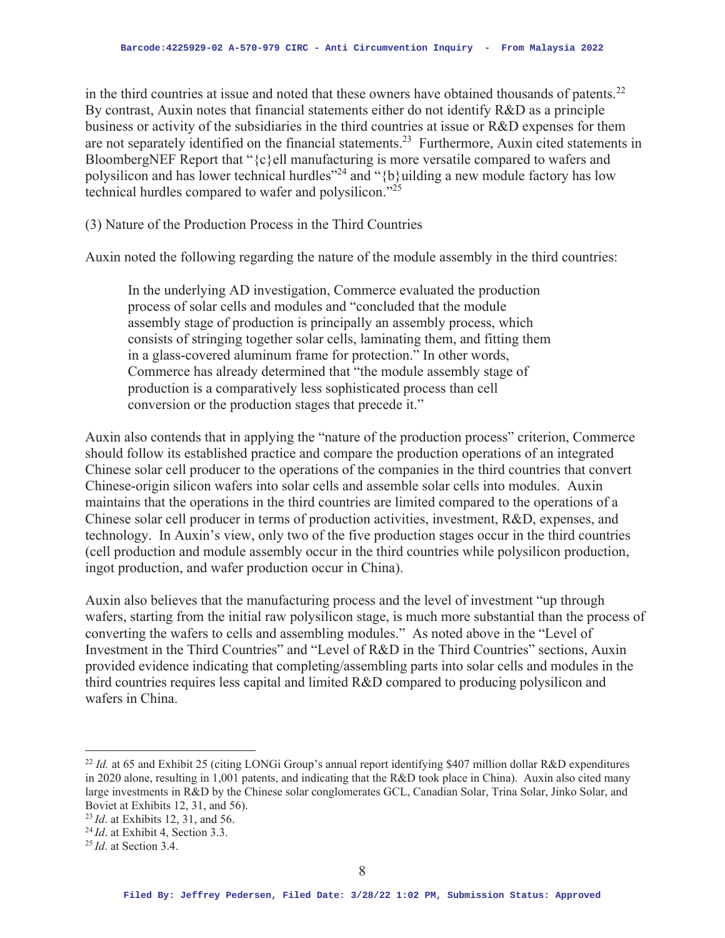in the third countries at issue and noted that these owners have obtained thousands of patents. $^{22}$ By contrast, Auxin notes that financial statements either do not identify R&D as a principle business or activity of the subsidiaries in the third countries at issue or R&D expenses for them are not separately identified on the financial statements.<sup>23</sup> Furthermore, Auxin cited statements in BloombergNEF Report that "{c}ell manufacturing is more versatile compared to wafers and polysilicon and has lower technical hurdles"<sup>24</sup> and "{b}uilding a new module factory has low technical hurdles compared to wafer and polysilicon. $\frac{1}{25}$ 

(3) Nature of the Production Process in the Third Countries

Auxin noted the following regarding the nature of the module assembly in the third countries:

In the underlying AD investigation, Commerce evaluated the production process of solar cells and modules and "concluded that the module assembly stage of production is principally an assembly process, which consists of stringing together solar cells, laminating them, and fitting them in a glass-covered aluminum frame for protection." In other words, Commerce has already determined that "the module assembly stage of production is a comparatively less sophisticated process than cell conversion or the production stages that precede it."

Auxin also contends that in applying the "nature of the production process" criterion, Commerce should follow its established practice and compare the production operations of an integrated Chinese solar cell producer to the operations of the companies in the third countries that convert Chinese-origin silicon wafers into solar cells and assemble solar cells into modules. Auxin maintains that the operations in the third countries are limited compared to the operations of a Chinese solar cell producer in terms of production activities, investment, R&D, expenses, and technology. In Auxin's view, only two of the five production stages occur in the third countries (cell production and module assembly occur in the third countries while polysilicon production, ingot production, and wafer production occur in China).

Auxin also believes that the manufacturing process and the level of investment "up through wafers, starting from the initial raw polysilicon stage, is much more substantial than the process of converting the wafers to cells and assembling modules." As noted above in the "Level of Investment in the Third Countries" and "Level of R&D in the Third Countries" sections, Auxin provided evidence indicating that completing/assembling parts into solar cells and modules in the third countries requires less capital and limited R&D compared to producing polysilicon and wafers in China.

<sup>&</sup>lt;sup>22</sup> *Id.* at 65 and Exhibit 25 (citing LONGi Group's annual report identifying \$407 million dollar R&D expenditures in 2020 alone, resulting in 1,001 patents, and indicating that the R&D took place in China). Auxin also cited many large investments in R&D by the Chinese solar conglomerates GCL, Canadian Solar, Trina Solar, Jinko Solar, and Boviet at Exhibits 12, 31, and 56).

<sup>23</sup>*Id*. at Exhibits 12, 31, and 56.

<sup>&</sup>lt;sup>24</sup>*Id.* at Exhibit 4, Section 3.3.

<sup>25</sup>*Id*. at Section 3.4.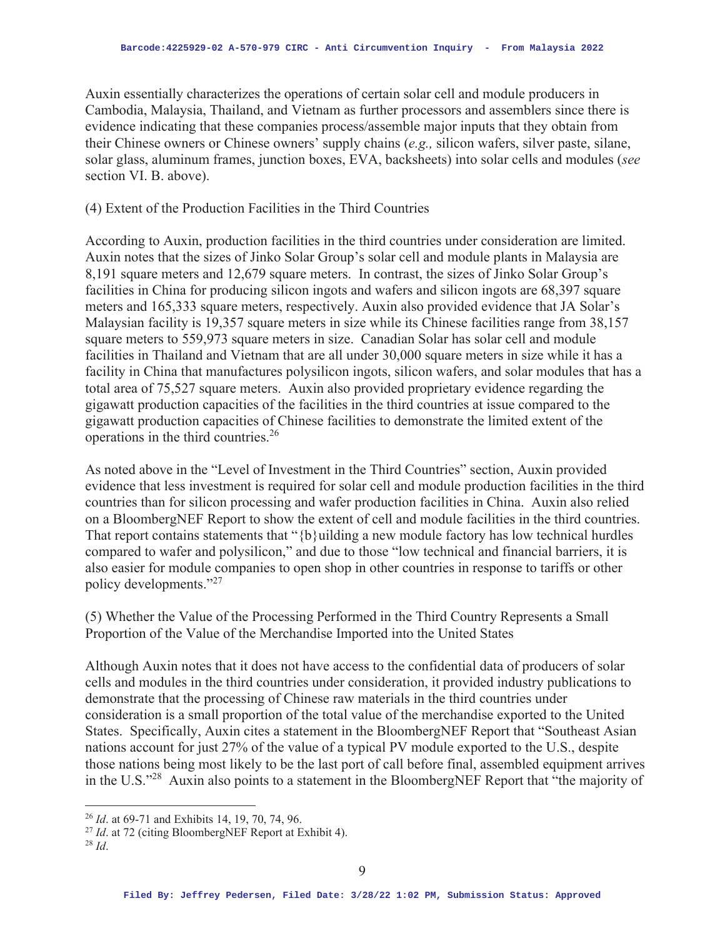Auxin essentially characterizes the operations of certain solar cell and module producers in Cambodia, Malaysia, Thailand, and Vietnam as further processors and assemblers since there is evidence indicating that these companies process/assemble major inputs that they obtain from their Chinese owners or Chinese owners' supply chains (*e.g.,* silicon wafers, silver paste, silane, solar glass, aluminum frames, junction boxes, EVA, backsheets) into solar cells and modules (*see* section VI. B. above).

### (4) Extent of the Production Facilities in the Third Countries

According to Auxin, production facilities in the third countries under consideration are limited. Auxin notes that the sizes of Jinko Solar Group's solar cell and module plants in Malaysia are 8,191 square meters and 12,679 square meters. In contrast, the sizes of Jinko Solar Group's facilities in China for producing silicon ingots and wafers and silicon ingots are 68,397 square meters and 165,333 square meters, respectively. Auxin also provided evidence that JA Solar's Malaysian facility is 19,357 square meters in size while its Chinese facilities range from 38,157 square meters to 559,973 square meters in size. Canadian Solar has solar cell and module facilities in Thailand and Vietnam that are all under 30,000 square meters in size while it has a facility in China that manufactures polysilicon ingots, silicon wafers, and solar modules that has a total area of 75,527 square meters. Auxin also provided proprietary evidence regarding the gigawatt production capacities of the facilities in the third countries at issue compared to the gigawatt production capacities of Chinese facilities to demonstrate the limited extent of the operations in the third countries.26

As noted above in the "Level of Investment in the Third Countries" section, Auxin provided evidence that less investment is required for solar cell and module production facilities in the third countries than for silicon processing and wafer production facilities in China. Auxin also relied on a BloombergNEF Report to show the extent of cell and module facilities in the third countries. That report contains statements that " ${b}$ uilding a new module factory has low technical hurdles compared to wafer and polysilicon," and due to those "low technical and financial barriers, it is also easier for module companies to open shop in other countries in response to tariffs or other policy developments."27

(5) Whether the Value of the Processing Performed in the Third Country Represents a Small Proportion of the Value of the Merchandise Imported into the United States

Although Auxin notes that it does not have access to the confidential data of producers of solar cells and modules in the third countries under consideration, it provided industry publications to demonstrate that the processing of Chinese raw materials in the third countries under consideration is a small proportion of the total value of the merchandise exported to the United States. Specifically, Auxin cites a statement in the BloombergNEF Report that "Southeast Asian nations account for just 27% of the value of a typical PV module exported to the U.S., despite those nations being most likely to be the last port of call before final, assembled equipment arrives in the U.S."28 Auxin also points to a statement in the BloombergNEF Report that "the majority of

<sup>&</sup>lt;sup>26</sup> *Id.* at 69-71 and Exhibits 14, 19, 70, 74, 96.<br><sup>27</sup> *Id.* at 72 (citing BloombergNEF Report at Exhibit 4).

<sup>28</sup> *Id*.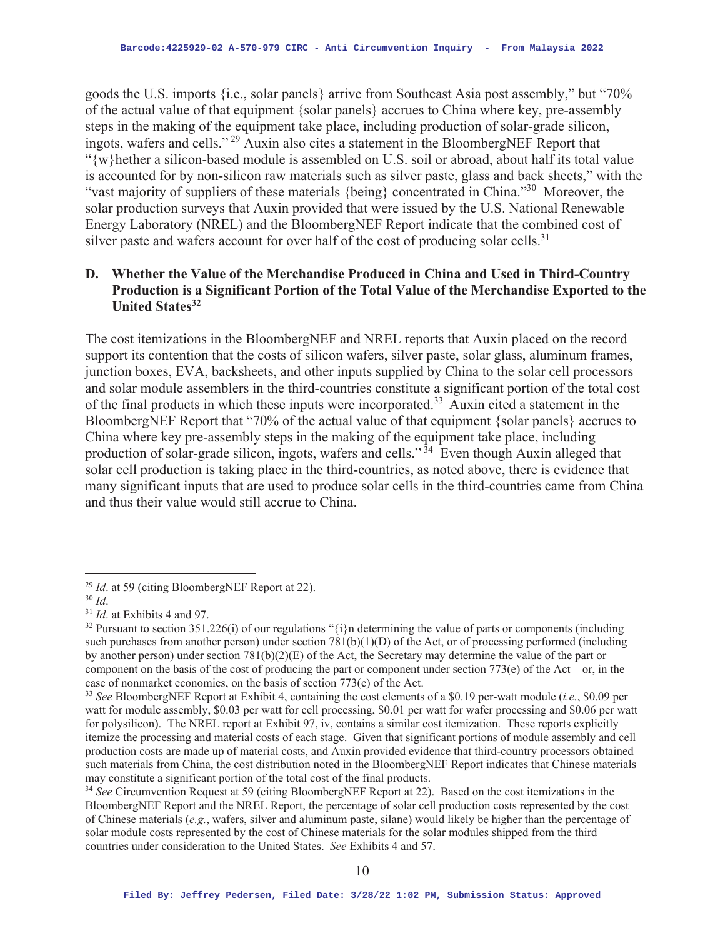goods the U.S. imports {i.e., solar panels} arrive from Southeast Asia post assembly," but "70% of the actual value of that equipment {solar panels} accrues to China where key, pre-assembly steps in the making of the equipment take place, including production of solar-grade silicon, ingots, wafers and cells." 29 Auxin also cites a statement in the BloombergNEF Report that "{w}hether a silicon-based module is assembled on U.S. soil or abroad, about half its total value is accounted for by non-silicon raw materials such as silver paste, glass and back sheets," with the "vast majority of suppliers of these materials {being} concentrated in China."30 Moreover, the solar production surveys that Auxin provided that were issued by the U.S. National Renewable Energy Laboratory (NREL) and the BloombergNEF Report indicate that the combined cost of silver paste and wafers account for over half of the cost of producing solar cells.<sup>31</sup>

## **D. Whether the Value of the Merchandise Produced in China and Used in Third-Country Production is a Significant Portion of the Total Value of the Merchandise Exported to the United States32**

The cost itemizations in the BloombergNEF and NREL reports that Auxin placed on the record support its contention that the costs of silicon wafers, silver paste, solar glass, aluminum frames, junction boxes, EVA, backsheets, and other inputs supplied by China to the solar cell processors and solar module assemblers in the third-countries constitute a significant portion of the total cost of the final products in which these inputs were incorporated.33 Auxin cited a statement in the BloombergNEF Report that "70% of the actual value of that equipment {solar panels} accrues to China where key pre-assembly steps in the making of the equipment take place, including production of solar-grade silicon, ingots, wafers and cells." 34 Even though Auxin alleged that solar cell production is taking place in the third-countries, as noted above, there is evidence that many significant inputs that are used to produce solar cells in the third-countries came from China and thus their value would still accrue to China.

<sup>29</sup> *Id*. at 59 (citing BloombergNEF Report at 22). 30 *Id*. 31 *Id*. at Exhibits 4 and 97.

<sup>&</sup>lt;sup>32</sup> Pursuant to section 351.226(i) of our regulations " $\{i\}$ n determining the value of parts or components (including such purchases from another person) under section  $781(b)(1)(D)$  of the Act, or of processing performed (including by another person) under section 781(b)(2)(E) of the Act, the Secretary may determine the value of the part or component on the basis of the cost of producing the part or component under section  $773(e)$  of the Act—or, in the case of nonmarket economies, on the basis of section 773(c) of the Act.

<sup>33</sup> *See* BloombergNEF Report at Exhibit 4, containing the cost elements of a \$0.19 per-watt module (*i.e.*, \$0.09 per watt for module assembly, \$0.03 per watt for cell processing, \$0.01 per watt for wafer processing and \$0.06 per watt for polysilicon). The NREL report at Exhibit 97, iv, contains a similar cost itemization. These reports explicitly itemize the processing and material costs of each stage. Given that significant portions of module assembly and cell production costs are made up of material costs, and Auxin provided evidence that third-country processors obtained such materials from China, the cost distribution noted in the BloombergNEF Report indicates that Chinese materials may constitute a significant portion of the total cost of the final products.

<sup>34</sup> *See* Circumvention Request at 59 (citing BloombergNEF Report at 22). Based on the cost itemizations in the BloombergNEF Report and the NREL Report, the percentage of solar cell production costs represented by the cost of Chinese materials (*e.g.*, wafers, silver and aluminum paste, silane) would likely be higher than the percentage of solar module costs represented by the cost of Chinese materials for the solar modules shipped from the third countries under consideration to the United States. *See* Exhibits 4 and 57.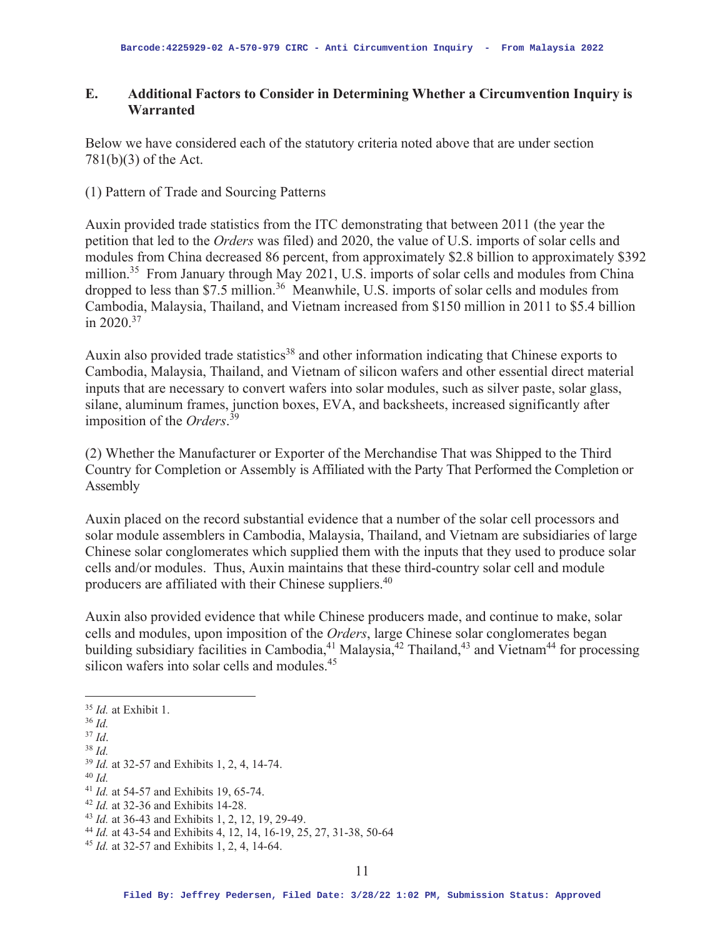### **E. Additional Factors to Consider in Determining Whether a Circumvention Inquiry is Warranted**

Below we have considered each of the statutory criteria noted above that are under section 781(b)(3) of the Act.

#### (1) Pattern of Trade and Sourcing Patterns

Auxin provided trade statistics from the ITC demonstrating that between 2011 (the year the petition that led to the *Orders* was filed) and 2020, the value of U.S. imports of solar cells and modules from China decreased 86 percent, from approximately \$2.8 billion to approximately \$392 million.<sup>35</sup> From January through May 2021, U.S. imports of solar cells and modules from China dropped to less than \$7.5 million.<sup>36</sup> Meanwhile, U.S. imports of solar cells and modules from Cambodia, Malaysia, Thailand, and Vietnam increased from \$150 million in 2011 to \$5.4 billion in  $2020^{37}$ 

Auxin also provided trade statistics<sup>38</sup> and other information indicating that Chinese exports to Cambodia, Malaysia, Thailand, and Vietnam of silicon wafers and other essential direct material inputs that are necessary to convert wafers into solar modules, such as silver paste, solar glass, silane, aluminum frames, junction boxes, EVA, and backsheets, increased significantly after imposition of the *Orders*. 39

(2) Whether the Manufacturer or Exporter of the Merchandise That was Shipped to the Third Country for Completion or Assembly is Affiliated with the Party That Performed the Completion or Assembly

Auxin placed on the record substantial evidence that a number of the solar cell processors and solar module assemblers in Cambodia, Malaysia, Thailand, and Vietnam are subsidiaries of large Chinese solar conglomerates which supplied them with the inputs that they used to produce solar cells and/or modules. Thus, Auxin maintains that these third-country solar cell and module producers are affiliated with their Chinese suppliers.40

Auxin also provided evidence that while Chinese producers made, and continue to make, solar cells and modules, upon imposition of the *Orders*, large Chinese solar conglomerates began building subsidiary facilities in Cambodia,<sup>41</sup> Malaysia,<sup>42</sup> Thailand,<sup>43</sup> and Vietnam<sup>44</sup> for processing silicon wafers into solar cells and modules.<sup>45</sup>

<sup>35</sup> *Id.* at Exhibit 1. 36 *Id.*

- 
- 
- 
- <sup>37</sup> *Id*. 38 *Id.*<sup>39</sup> *Id.* at 32-57 and Exhibits 1, 2, 4, 14-74. 40 *Id.*
- 

<sup>&</sup>lt;sup>41</sup> *Id.* at 54-57 and Exhibits 19, 65-74.<br><sup>42</sup> *Id.* at 32-36 and Exhibits 14-28.<br><sup>43</sup> *Id.* at 36-43 and Exhibits 1, 2, 12, 19, 29-49.<br><sup>44</sup> *Id.* at 43-54 and Exhibits 4, 12, 14, 16-19, 25, 27, 31-38, 50-64<br><sup>45</sup> *Id.*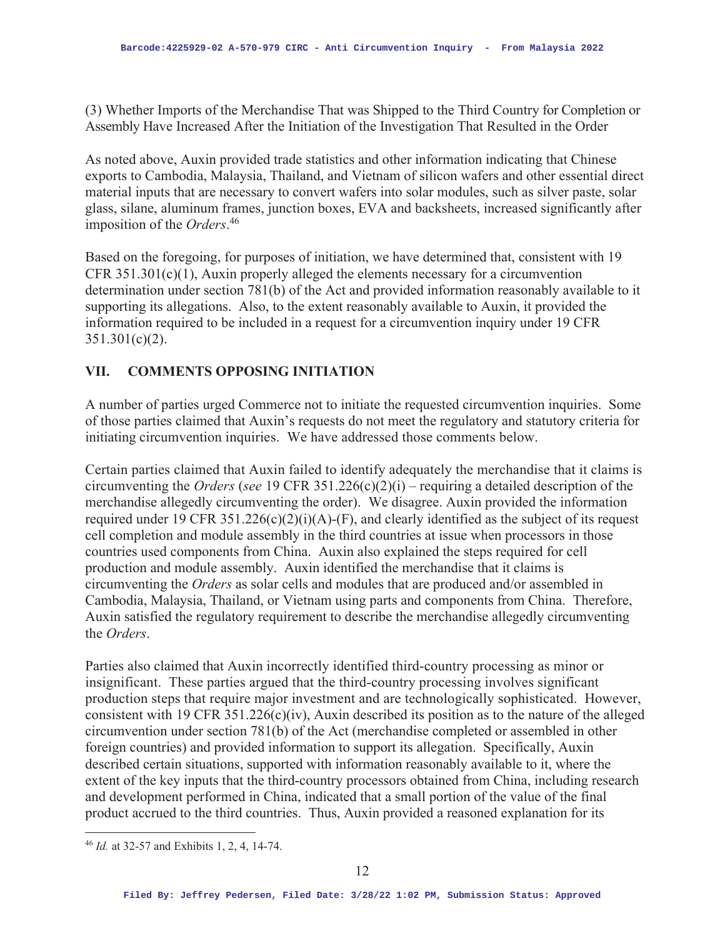(3) Whether Imports of the Merchandise That was Shipped to the Third Country for Completion or Assembly Have Increased After the Initiation of the Investigation That Resulted in the Order

As noted above, Auxin provided trade statistics and other information indicating that Chinese exports to Cambodia, Malaysia, Thailand, and Vietnam of silicon wafers and other essential direct material inputs that are necessary to convert wafers into solar modules, such as silver paste, solar glass, silane, aluminum frames, junction boxes, EVA and backsheets, increased significantly after imposition of the *Orders*. 46

Based on the foregoing, for purposes of initiation, we have determined that, consistent with 19 CFR 351.301(c)(1), Auxin properly alleged the elements necessary for a circumvention determination under section 781(b) of the Act and provided information reasonably available to it supporting its allegations. Also, to the extent reasonably available to Auxin, it provided the information required to be included in a request for a circumvention inquiry under 19 CFR  $351.301(c)(2)$ .

# **VII. COMMENTS OPPOSING INITIATION**

A number of parties urged Commerce not to initiate the requested circumvention inquiries. Some of those parties claimed that Auxin's requests do not meet the regulatory and statutory criteria for initiating circumvention inquiries. We have addressed those comments below.

Certain parties claimed that Auxin failed to identify adequately the merchandise that it claims is circumventing the *Orders* (*see* 19 CFR 351.226(c)(2)(i) – requiring a detailed description of the merchandise allegedly circumventing the order). We disagree. Auxin provided the information required under 19 CFR 351.226(c)(2)(i)(A)-(F), and clearly identified as the subject of its request cell completion and module assembly in the third countries at issue when processors in those countries used components from China. Auxin also explained the steps required for cell production and module assembly. Auxin identified the merchandise that it claims is circumventing the *Orders* as solar cells and modules that are produced and/or assembled in Cambodia, Malaysia, Thailand, or Vietnam using parts and components from China. Therefore, Auxin satisfied the regulatory requirement to describe the merchandise allegedly circumventing the *Orders*.

Parties also claimed that Auxin incorrectly identified third-country processing as minor or insignificant. These parties argued that the third-country processing involves significant production steps that require major investment and are technologically sophisticated. However, consistent with 19 CFR 351.226(c)(iv), Auxin described its position as to the nature of the alleged circumvention under section 781(b) of the Act (merchandise completed or assembled in other foreign countries) and provided information to support its allegation. Specifically, Auxin described certain situations, supported with information reasonably available to it, where the extent of the key inputs that the third-country processors obtained from China, including research and development performed in China, indicated that a small portion of the value of the final product accrued to the third countries. Thus, Auxin provided a reasoned explanation for its

<sup>46</sup> *Id.* at 32-57 and Exhibits 1, 2, 4, 14-74.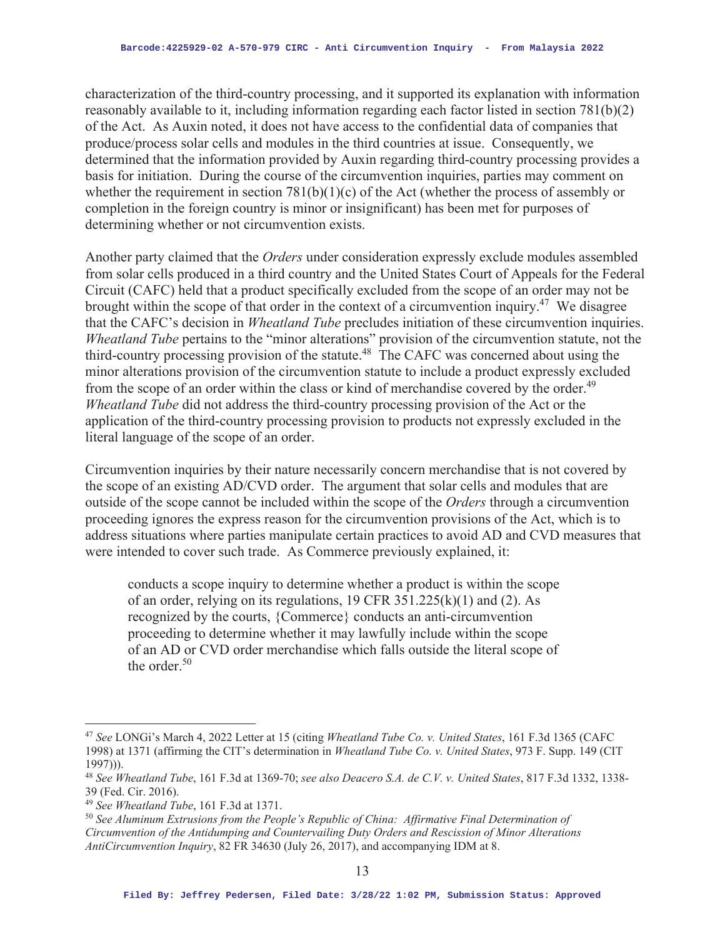characterization of the third-country processing, and it supported its explanation with information reasonably available to it, including information regarding each factor listed in section 781(b)(2) of the Act. As Auxin noted, it does not have access to the confidential data of companies that produce/process solar cells and modules in the third countries at issue. Consequently, we determined that the information provided by Auxin regarding third-country processing provides a basis for initiation. During the course of the circumvention inquiries, parties may comment on whether the requirement in section  $781(b)(1)(c)$  of the Act (whether the process of assembly or completion in the foreign country is minor or insignificant) has been met for purposes of determining whether or not circumvention exists.

Another party claimed that the *Orders* under consideration expressly exclude modules assembled from solar cells produced in a third country and the United States Court of Appeals for the Federal Circuit (CAFC) held that a product specifically excluded from the scope of an order may not be brought within the scope of that order in the context of a circumvention inquiry.<sup>47</sup> We disagree that the CAFC's decision in *Wheatland Tube* precludes initiation of these circumvention inquiries. *Wheatland Tube* pertains to the "minor alterations" provision of the circumvention statute, not the third-country processing provision of the statute.<sup>48</sup> The CAFC was concerned about using the minor alterations provision of the circumvention statute to include a product expressly excluded from the scope of an order within the class or kind of merchandise covered by the order.<sup>49</sup> *Wheatland Tube* did not address the third-country processing provision of the Act or the application of the third-country processing provision to products not expressly excluded in the literal language of the scope of an order.

Circumvention inquiries by their nature necessarily concern merchandise that is not covered by the scope of an existing AD/CVD order. The argument that solar cells and modules that are outside of the scope cannot be included within the scope of the *Orders* through a circumvention proceeding ignores the express reason for the circumvention provisions of the Act, which is to address situations where parties manipulate certain practices to avoid AD and CVD measures that were intended to cover such trade. As Commerce previously explained, it:

conducts a scope inquiry to determine whether a product is within the scope of an order, relying on its regulations, 19 CFR 351.225(k)(1) and (2). As recognized by the courts, {Commerce} conducts an anti-circumvention proceeding to determine whether it may lawfully include within the scope of an AD or CVD order merchandise which falls outside the literal scope of the order. $50$ 

<sup>47</sup> *See* LONGi's March 4, 2022 Letter at 15 (citing *Wheatland Tube Co. v. United States*, 161 F.3d 1365 (CAFC 1998) at 1371 (affirming the CIT's determination in *Wheatland Tube Co. v. United States*, 973 F. Supp. 149 (CIT 1997))).

<sup>48</sup> *See Wheatland Tube*, 161 F.3d at 1369-70; *see also Deacero S.A. de C.V. v. United States*, 817 F.3d 1332, 1338- 39 (Fed. Cir. 2016).

<sup>&</sup>lt;sup>49</sup> *See Wheatland Tube*, 161 F.3d at 1371.<br><sup>50</sup> *See Aluminum Extrusions from the People's Republic of China: Affirmative Final Determination of Circumvention of the Antidumping and Countervailing Duty Orders and Rescission of Minor Alterations AntiCircumvention Inquiry*, 82 FR 34630 (July 26, 2017), and accompanying IDM at 8.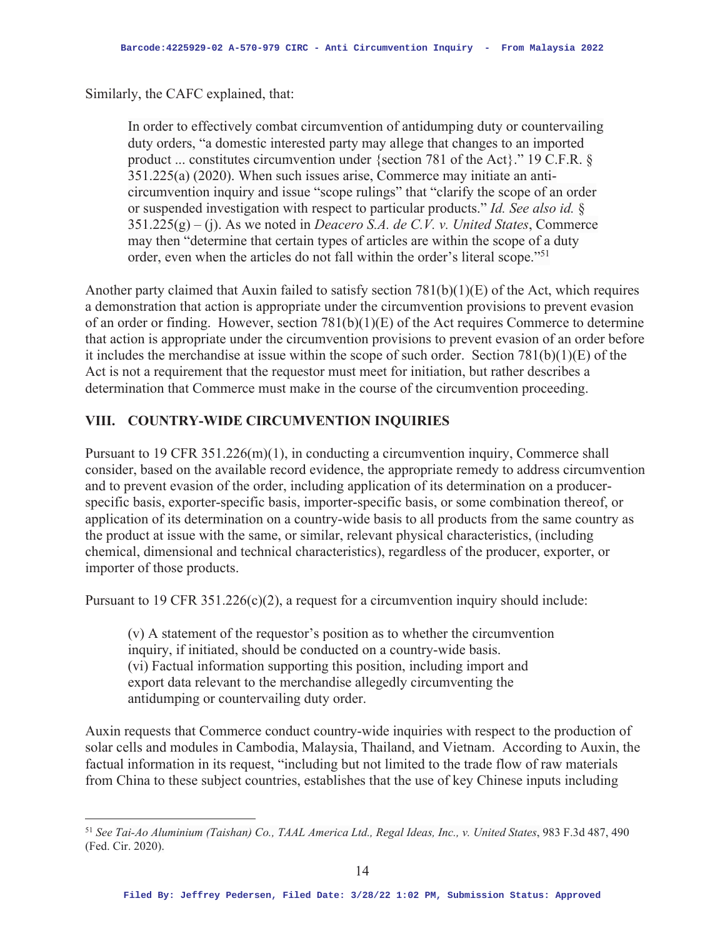Similarly, the CAFC explained, that:

In order to effectively combat circumvention of antidumping duty or countervailing duty orders, "a domestic interested party may allege that changes to an imported product ... constitutes circumvention under {section 781 of the Act}." 19 C.F.R. § 351.225(a) (2020). When such issues arise, Commerce may initiate an anticircumvention inquiry and issue "scope rulings" that "clarify the scope of an order or suspended investigation with respect to particular products." *Id. See also id.* § 351.225(g) – (j). As we noted in *Deacero S.A. de C.V. v. United States*, Commerce may then "determine that certain types of articles are within the scope of a duty order, even when the articles do not fall within the order's literal scope."<sup>51</sup>

Another party claimed that Auxin failed to satisfy section 781(b)(1)(E) of the Act, which requires a demonstration that action is appropriate under the circumvention provisions to prevent evasion of an order or finding. However, section 781(b)(1)(E) of the Act requires Commerce to determine that action is appropriate under the circumvention provisions to prevent evasion of an order before it includes the merchandise at issue within the scope of such order. Section 781(b)(1)(E) of the Act is not a requirement that the requestor must meet for initiation, but rather describes a determination that Commerce must make in the course of the circumvention proceeding.

### **VIII. COUNTRY-WIDE CIRCUMVENTION INQUIRIES**

Pursuant to 19 CFR 351.226(m)(1), in conducting a circumvention inquiry, Commerce shall consider, based on the available record evidence, the appropriate remedy to address circumvention and to prevent evasion of the order, including application of its determination on a producerspecific basis, exporter-specific basis, importer-specific basis, or some combination thereof, or application of its determination on a country-wide basis to all products from the same country as the product at issue with the same, or similar, relevant physical characteristics, (including chemical, dimensional and technical characteristics), regardless of the producer, exporter, or importer of those products.

Pursuant to 19 CFR  $351.226(c)(2)$ , a request for a circumvention inquiry should include:

(v) A statement of the requestor's position as to whether the circumvention inquiry, if initiated, should be conducted on a country-wide basis. (vi) Factual information supporting this position, including import and export data relevant to the merchandise allegedly circumventing the antidumping or countervailing duty order.

Auxin requests that Commerce conduct country-wide inquiries with respect to the production of solar cells and modules in Cambodia, Malaysia, Thailand, and Vietnam. According to Auxin, the factual information in its request, "including but not limited to the trade flow of raw materials from China to these subject countries, establishes that the use of key Chinese inputs including

<sup>51</sup> *See Tai-Ao Aluminium (Taishan) Co., TAAL America Ltd., Regal Ideas, Inc., v. United States*, 983 F.3d 487, 490 (Fed. Cir. 2020).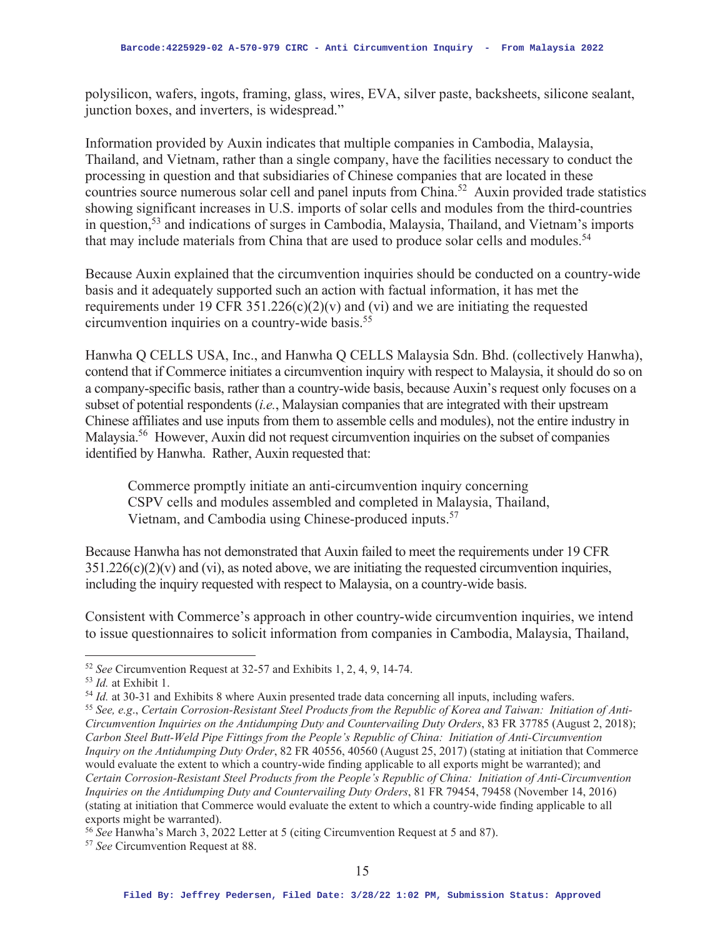polysilicon, wafers, ingots, framing, glass, wires, EVA, silver paste, backsheets, silicone sealant, junction boxes, and inverters, is widespread."

Information provided by Auxin indicates that multiple companies in Cambodia, Malaysia, Thailand, and Vietnam, rather than a single company, have the facilities necessary to conduct the processing in question and that subsidiaries of Chinese companies that are located in these countries source numerous solar cell and panel inputs from China.<sup>52</sup> Auxin provided trade statistics showing significant increases in U.S. imports of solar cells and modules from the third-countries in question,53 and indications of surges in Cambodia, Malaysia, Thailand, and Vietnam's imports that may include materials from China that are used to produce solar cells and modules.<sup>54</sup>

Because Auxin explained that the circumvention inquiries should be conducted on a country-wide basis and it adequately supported such an action with factual information, it has met the requirements under 19 CFR 351.226(c)(2)(v) and (vi) and we are initiating the requested circumvention inquiries on a country-wide basis.55

Hanwha Q CELLS USA, Inc., and Hanwha Q CELLS Malaysia Sdn. Bhd. (collectively Hanwha), contend that if Commerce initiates a circumvention inquiry with respect to Malaysia, it should do so on a company-specific basis, rather than a country-wide basis, because Auxin's request only focuses on a subset of potential respondents (*i.e.*, Malaysian companies that are integrated with their upstream Chinese affiliates and use inputs from them to assemble cells and modules), not the entire industry in Malaysia.56 However, Auxin did not request circumvention inquiries on the subset of companies identified by Hanwha. Rather, Auxin requested that:

Commerce promptly initiate an anti-circumvention inquiry concerning CSPV cells and modules assembled and completed in Malaysia, Thailand, Vietnam, and Cambodia using Chinese-produced inputs.<sup>57</sup>

Because Hanwha has not demonstrated that Auxin failed to meet the requirements under 19 CFR  $351.226(c)(2)(v)$  and (vi), as noted above, we are initiating the requested circumvention inquiries, including the inquiry requested with respect to Malaysia, on a country-wide basis.

Consistent with Commerce's approach in other country-wide circumvention inquiries, we intend to issue questionnaires to solicit information from companies in Cambodia, Malaysia, Thailand,

<sup>&</sup>lt;sup>52</sup> See Circumvention Request at 32-57 and Exhibits 1, 2, 4, 9, 14-74.<br><sup>53</sup> *Id.* at Exhibit 1.<br><sup>54</sup> *Id.* at 30-31 and Exhibits 8 where Auxin presented trade data concerning all inputs, including wafers.<br><sup>55</sup> See, e.g., *Circumvention Inquiries on the Antidumping Duty and Countervailing Duty Orders*, 83 FR 37785 (August 2, 2018); *Carbon Steel Butt-Weld Pipe Fittings from the People's Republic of China: Initiation of Anti-Circumvention Inquiry on the Antidumping Duty Order*, 82 FR 40556, 40560 (August 25, 2017) (stating at initiation that Commerce would evaluate the extent to which a country-wide finding applicable to all exports might be warranted); and *Certain Corrosion-Resistant Steel Products from the People's Republic of China: Initiation of Anti-Circumvention Inquiries on the Antidumping Duty and Countervailing Duty Orders*, 81 FR 79454, 79458 (November 14, 2016) (stating at initiation that Commerce would evaluate the extent to which a country-wide finding applicable to all exports might be warranted).

<sup>56</sup> *See* Hanwha's March 3, 2022 Letter at 5 (citing Circumvention Request at 5 and 87). 57 *See* Circumvention Request at 88.